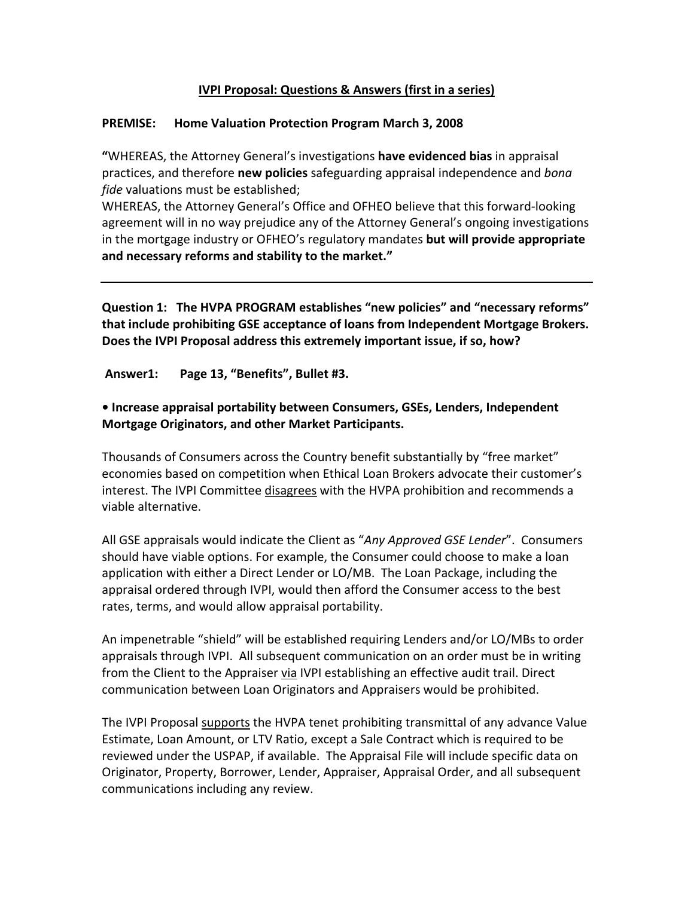## **IVPI Proposal: Questions & Answers (first in a series)**

#### **PREMISE: Home Valuation Protection Program March 3, 2008**

**"**WHEREAS, the Attorney General's investigations **have evidenced bias** in appraisal practices, and therefore **new policies** safeguarding appraisal independence and *bona fide* valuations must be established;

WHEREAS, the Attorney General's Office and OFHEO believe that this forward‐looking agreement will in no way prejudice any of the Attorney General's ongoing investigations in the mortgage industry or OFHEO's regulatory mandates **but will provide appropriate and necessary reforms and stability to the market."**

**Question 1: The HVPA PROGRAM establishes "new policies" and "necessary reforms" that include prohibiting GSE acceptance of loans from Independent Mortgage Brokers. Does the IVPI Proposal address this extremely important issue, if so, how?** 

#### **Answer1: Page 13, "Benefits", Bullet #3.**

## **• Increase appraisal portability between Consumers, GSEs, Lenders, Independent Mortgage Originators, and other Market Participants.**

Thousands of Consumers across the Country benefit substantially by "free market" economies based on competition when Ethical Loan Brokers advocate their customer's interest. The IVPI Committee disagrees with the HVPA prohibition and recommends a viable alternative.

All GSE appraisals would indicate the Client as "*Any Approved GSE Lender*". Consumers should have viable options. For example, the Consumer could choose to make a loan application with either a Direct Lender or LO/MB. The Loan Package, including the appraisal ordered through IVPI, would then afford the Consumer access to the best rates, terms, and would allow appraisal portability.

An impenetrable "shield" will be established requiring Lenders and/or LO/MBs to order appraisals through IVPI. All subsequent communication on an order must be in writing from the Client to the Appraiser via IVPI establishing an effective audit trail. Direct communication between Loan Originators and Appraisers would be prohibited.

The IVPI Proposal supports the HVPA tenet prohibiting transmittal of any advance Value Estimate, Loan Amount, or LTV Ratio, except a Sale Contract which is required to be reviewed under the USPAP, if available. The Appraisal File will include specific data on Originator, Property, Borrower, Lender, Appraiser, Appraisal Order, and all subsequent communications including any review.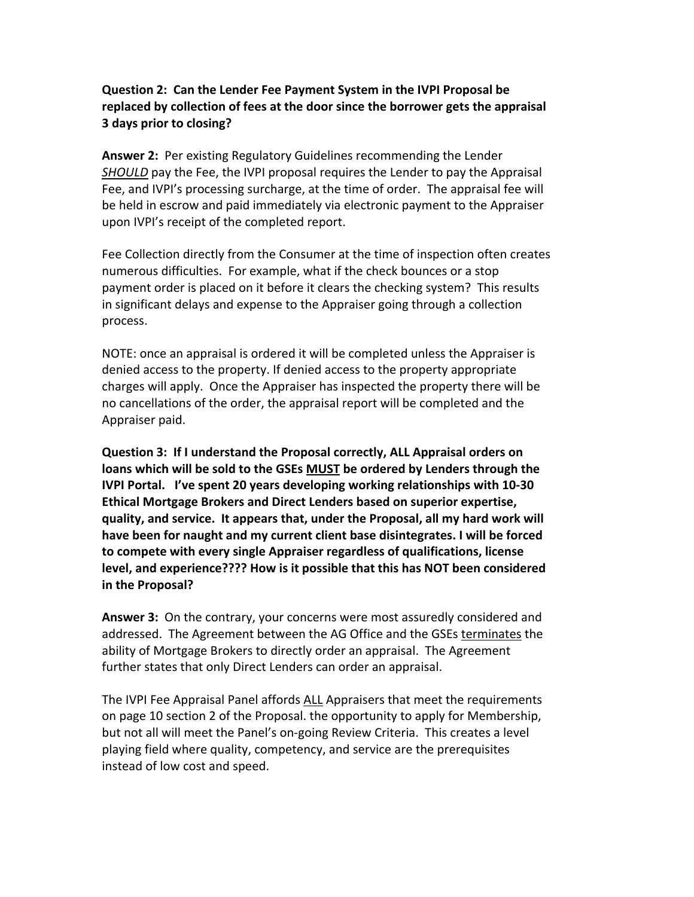## **Question 2: Can the Lender Fee Payment System in the IVPI Proposal be replaced by collection of fees at the door since the borrower gets the appraisal 3 days prior to closing?**

**Answer 2:** Per existing Regulatory Guidelines recommending the Lender *SHOULD* pay the Fee, the IVPI proposal requires the Lender to pay the Appraisal Fee, and IVPI's processing surcharge, at the time of order. The appraisal fee will be held in escrow and paid immediately via electronic payment to the Appraiser upon IVPI's receipt of the completed report.

Fee Collection directly from the Consumer at the time of inspection often creates numerous difficulties. For example, what if the check bounces or a stop payment order is placed on it before it clears the checking system? This results in significant delays and expense to the Appraiser going through a collection process.

NOTE: once an appraisal is ordered it will be completed unless the Appraiser is denied access to the property. If denied access to the property appropriate charges will apply. Once the Appraiser has inspected the property there will be no cancellations of the order, the appraisal report will be completed and the Appraiser paid.

**Question 3: If I understand the Proposal correctly, ALL Appraisal orders on loans which will be sold to the GSEs MUST be ordered by Lenders through the IVPI Portal. I've spent 20 years developing working relationships with 10‐30 Ethical Mortgage Brokers and Direct Lenders based on superior expertise, quality, and service. It appears that, under the Proposal, all my hard work will have been for naught and my current client base disintegrates. I will be forced to compete with every single Appraiser regardless of qualifications, license level, and experience???? How is it possible that this has NOT been considered in the Proposal?**

**Answer 3:** On the contrary, your concerns were most assuredly considered and addressed. The Agreement between the AG Office and the GSEs terminates the ability of Mortgage Brokers to directly order an appraisal. The Agreement further states that only Direct Lenders can order an appraisal.

The IVPI Fee Appraisal Panel affords ALL Appraisers that meet the requirements on page 10 section 2 of the Proposal. the opportunity to apply for Membership, but not all will meet the Panel's on‐going Review Criteria. This creates a level playing field where quality, competency, and service are the prerequisites instead of low cost and speed.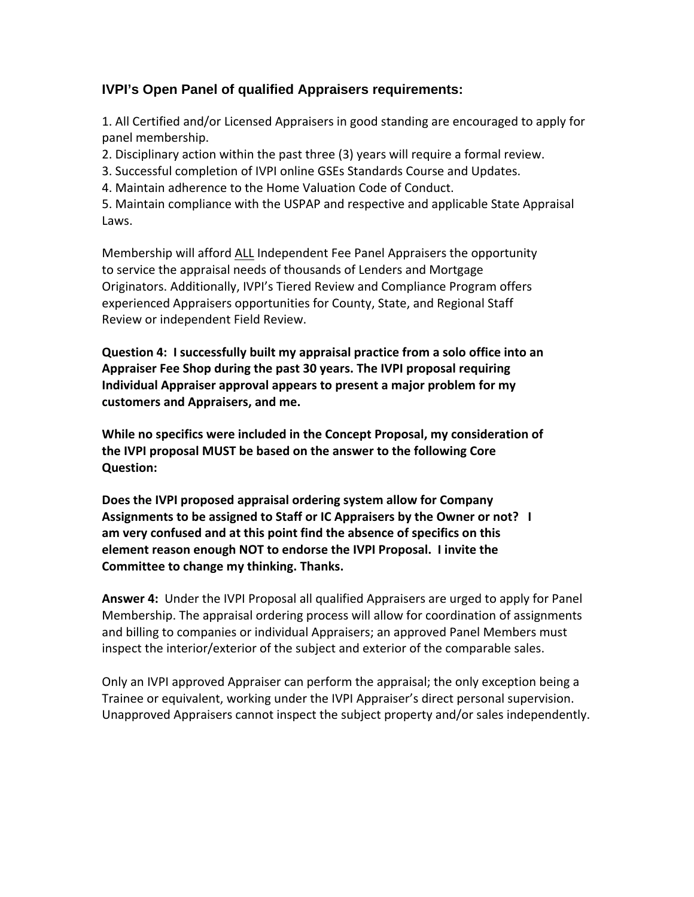# **IVPI's Open Panel of qualified Appraisers requirements:**

1. All Certified and/or Licensed Appraisers in good standing are encouraged to apply for panel membership.

2. Disciplinary action within the past three (3) years will require a formal review.

3. Successful completion of IVPI online GSEs Standards Course and Updates.

4. Maintain adherence to the Home Valuation Code of Conduct.

5. Maintain compliance with the USPAP and respective and applicable State Appraisal Laws.

Membership will afford ALL Independent Fee Panel Appraisers the opportunity to service the appraisal needs of thousands of Lenders and Mortgage Originators. Additionally, IVPI's Tiered Review and Compliance Program offers experienced Appraisers opportunities for County, State, and Regional Staff Review or independent Field Review.

**Question 4: I successfully built my appraisal practice from a solo office into an Appraiser Fee Shop during the past 30 years. The IVPI proposal requiring Individual Appraiser approval appears to present a major problem for my customers and Appraisers, and me.** 

**While no specifics were included in the Concept Proposal, my consideration of the IVPI proposal MUST be based on the answer to the following Core Question:** 

**Does the IVPI proposed appraisal ordering system allow for Company Assignments to be assigned to Staff or IC Appraisers by the Owner or not? I am very confused and at this point find the absence of specifics on this element reason enough NOT to endorse the IVPI Proposal. I invite the Committee to change my thinking. Thanks.**

**Answer 4:** Under the IVPI Proposal all qualified Appraisers are urged to apply for Panel Membership. The appraisal ordering process will allow for coordination of assignments and billing to companies or individual Appraisers; an approved Panel Members must inspect the interior/exterior of the subject and exterior of the comparable sales.

Only an IVPI approved Appraiser can perform the appraisal; the only exception being a Trainee or equivalent, working under the IVPI Appraiser's direct personal supervision. Unapproved Appraisers cannot inspect the subject property and/or sales independently.